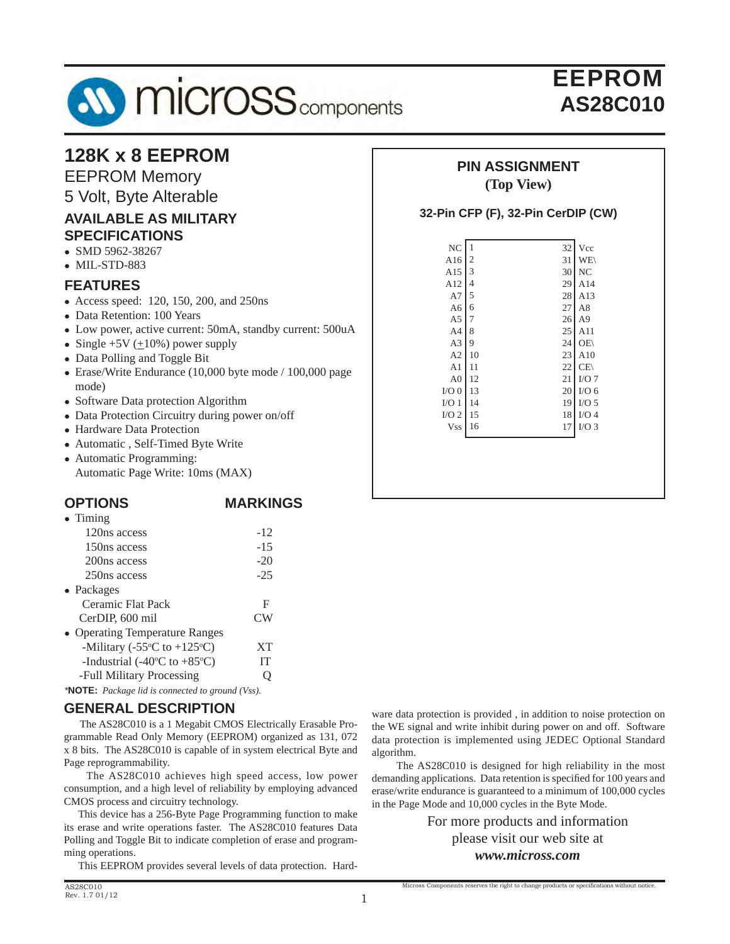

# EEPROM **AS28C010**

| 128K x 8 EEPROM<br><b>EEPROM Memory</b><br>5 Volt, Byte Alterable         | <b>PIN ASSIGNMENT</b><br>(Top View)             |                      |                          |  |  |
|---------------------------------------------------------------------------|-------------------------------------------------|----------------------|--------------------------|--|--|
| <b>AVAILABLE AS MILITARY</b><br><b>SPECIFICATIONS</b><br>• SMD 5962-38267 | 32-Pin CFP (F), 32-Pin CerDIP (CW)<br>NC<br>A16 | Vcc<br><b>WE</b>     |                          |  |  |
| $\bullet$ MIL-STD-883                                                     | A15                                             | 31<br>13             | $30$ NC                  |  |  |
| <b>FEATURES</b>                                                           | A12                                             | 29<br>$\overline{4}$ | A14                      |  |  |
| • Access speed: 120, 150, 200, and 250ns                                  | A7                                              | 28 <sup>1</sup><br>5 | A13                      |  |  |
| • Data Retention: 100 Years                                               | A6                                              | 27<br>6              | A8                       |  |  |
|                                                                           | A <sub>5</sub>                                  |                      | $26$ A9                  |  |  |
| • Low power, active current: 50mA, standby current: 500uA                 | A4                                              | 25<br>-8             | A11                      |  |  |
| • Single +5V $(\pm 10\%)$ power supply                                    | A <sub>3</sub>                                  | 24<br>9              | OE(                      |  |  |
| • Data Polling and Toggle Bit                                             | A2                                              | 23<br>  10           | A10                      |  |  |
| $\bullet$ Erase/Write Endurance (10,000 byte mode / 100,000 page          | A <sub>1</sub>                                  | 22<br>-11            | CE(                      |  |  |
| mode)                                                                     | A <sub>0</sub>                                  | 12                   | $21$ I/O 7               |  |  |
| • Software Data protection Algorithm                                      | $I/O$ 0   13                                    |                      | $20$   I/O 6             |  |  |
|                                                                           | $I/O$ 1 14                                      |                      | $19$ I/O 5               |  |  |
| • Data Protection Circuitry during power on/off                           | $I/O$ 2   15                                    |                      | $18$ I/O 4<br>$17$ I/O 3 |  |  |
| • Hardware Data Protection                                                | $Vss$ 16                                        |                      |                          |  |  |
| • Automatic, Self-Timed Byte Write                                        |                                                 |                      |                          |  |  |
| • Automatic Programming:                                                  |                                                 |                      |                          |  |  |
| Automatic Page Write: 10ms (MAX)                                          |                                                 |                      |                          |  |  |
|                                                                           |                                                 |                      |                          |  |  |

#### **OPTIONS MARKINGS**

| $\bullet$ Timing                                           |           |
|------------------------------------------------------------|-----------|
| 120ns access                                               | $-12$     |
| 150ns access                                               | $-15$     |
| 200 <sub>ns</sub> access                                   | $-20$     |
| 250ns access                                               | $-25$     |
| $\bullet$ Packages                                         |           |
| Ceramic Flat Pack                                          | F         |
| CerDIP, 600 mil                                            | CW        |
| • Operating Temperature Ranges                             |           |
| -Military (-55 $\rm{^{\circ}C}$ to +125 $\rm{^{\circ}C}$ ) | <b>XT</b> |
| -Industrial (-40 $\rm ^{o}C$ to +85 $\rm ^{o}C$ )          | IТ        |
| -Full Military Processing                                  |           |
|                                                            |           |

*\****NOTE:** *Package lid is connected to ground (Vss).*

#### **GENERAL DESCRIPTION**

 The AS28C010 is a 1 Megabit CMOS Electrically Erasable Programmable Read Only Memory (EEPROM) organized as 131, 072 x 8 bits. The AS28C010 is capable of in system electrical Byte and Page reprogrammability.

 The AS28C010 achieves high speed access, low power consumption, and a high level of reliability by employing advanced CMOS process and circuitry technology.

 This device has a 256-Byte Page Programming function to make its erase and write operations faster. The AS28C010 features Data Polling and Toggle Bit to indicate completion of erase and programming operations.

This EEPROM provides several levels of data protection. Hard-

ware data protection is provided , in addition to noise protection on the WE signal and write inhibit during power on and off. Software data protection is implemented using JEDEC Optional Standard algorithm.

 The AS28C010 is designed for high reliability in the most demanding applications. Data retention is specified for 100 years and erase/write endurance is guaranteed to a minimum of 100,000 cycles in the Page Mode and 10,000 cycles in the Byte Mode.

> For more products and information please visit our web site at *www.micross.com*

Micross Components reserves the right to change products or specifications without notice.

1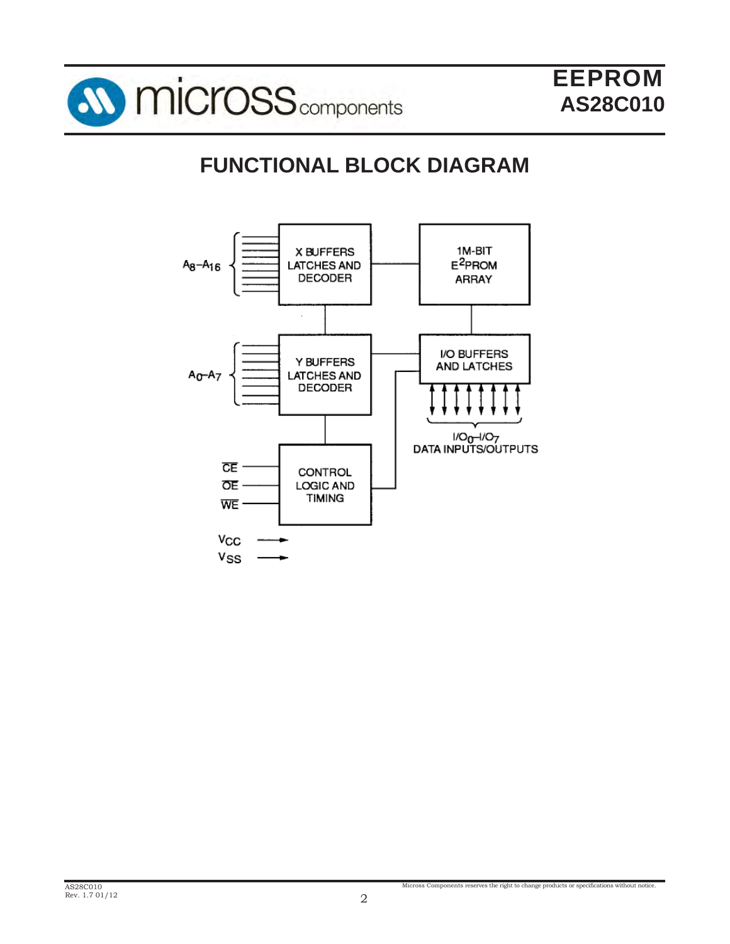

# **FUNCTIONAL BLOCK DIAGRAM**

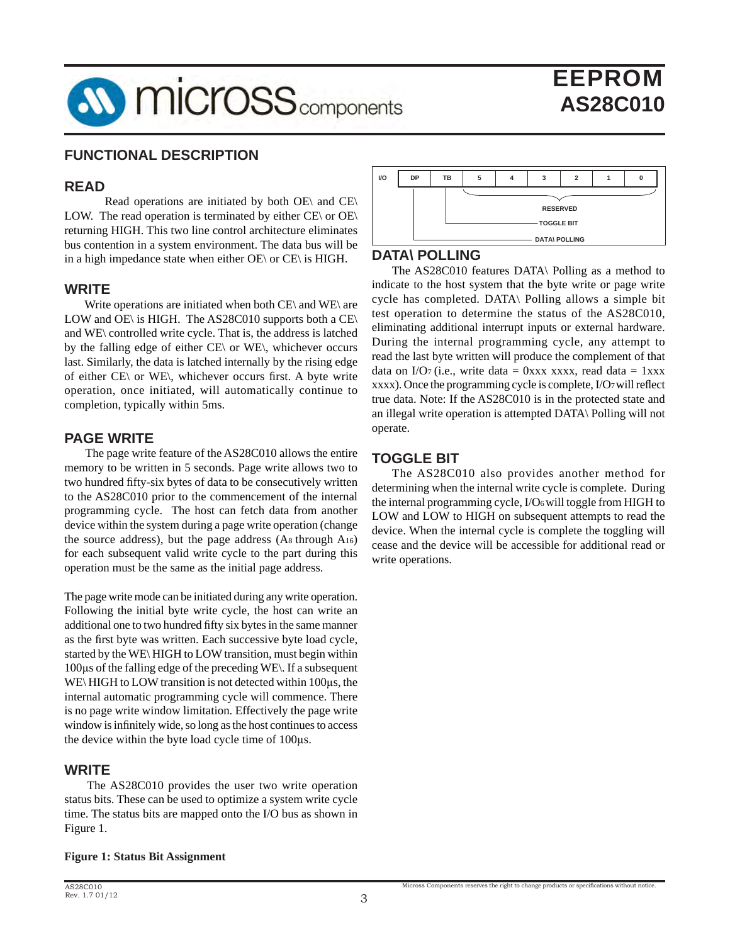

#### **FUNCTIONAL DESCRIPTION**

#### **READ**

 Read operations are initiated by both OE\ and CE\ LOW. The read operation is terminated by either  $CE \setminus$  or  $OE \setminus$ returning HIGH. This two line control architecture eliminates bus contention in a system environment. The data bus will be in a high impedance state when either OE\ or CE\ is HIGH.

#### **WRITE**

Write operations are initiated when both CE\ and WE\ are LOW and OE\ is HIGH. The AS28C010 supports both a CE\ and WE\ controlled write cycle. That is, the address is latched by the falling edge of either CE\ or WE\, whichever occurs last. Similarly, the data is latched internally by the rising edge of either  $CE\$  or WE\, whichever occurs first. A byte write operation, once initiated, will automatically continue to completion, typically within 5ms.

#### **PAGE WRITE**

 The page write feature of the AS28C010 allows the entire memory to be written in 5 seconds. Page write allows two to two hundred fifty-six bytes of data to be consecutively written to the AS28C010 prior to the commencement of the internal programming cycle. The host can fetch data from another device within the system during a page write operation (change the source address), but the page address (A8 through A16) for each subsequent valid write cycle to the part during this operation must be the same as the initial page address.

The page write mode can be initiated during any write operation. Following the initial byte write cycle, the host can write an additional one to two hundred fifty six bytes in the same manner as the first byte was written. Each successive byte load cycle, started by the WE\ HIGH to LOW transition, must begin within 100μs of the falling edge of the preceding WE\. If a subsequent WE\ HIGH to LOW transition is not detected within 100μs, the internal automatic programming cycle will commence. There is no page write window limitation. Effectively the page write window is infinitely wide, so long as the host continues to access the device within the byte load cycle time of 100μs.

#### **WRITE**

 The AS28C010 provides the user two write operation status bits. These can be used to optimize a system write cycle time. The status bits are mapped onto the I/O bus as shown in Figure 1.





#### **DATA\ POLLING**

The AS28C010 features DATA\ Polling as a method to indicate to the host system that the byte write or page write cycle has completed. DATA\ Polling allows a simple bit test operation to determine the status of the AS28C010, eliminating additional interrupt inputs or external hardware. During the internal programming cycle, any attempt to read the last byte written will produce the complement of that data on I/O7 (i.e., write data = 0xxx xxxx, read data = 1xxx xxxx). Once the programming cycle is complete, I/O7 will reflect true data. Note: If the AS28C010 is in the protected state and an illegal write operation is attempted DATA\ Polling will not operate.

#### **TOGGLE BIT**

The AS28C010 also provides another method for determining when the internal write cycle is complete. During the internal programming cycle, I/O6 will toggle from HIGH to LOW and LOW to HIGH on subsequent attempts to read the device. When the internal cycle is complete the toggling will cease and the device will be accessible for additional read or write operations.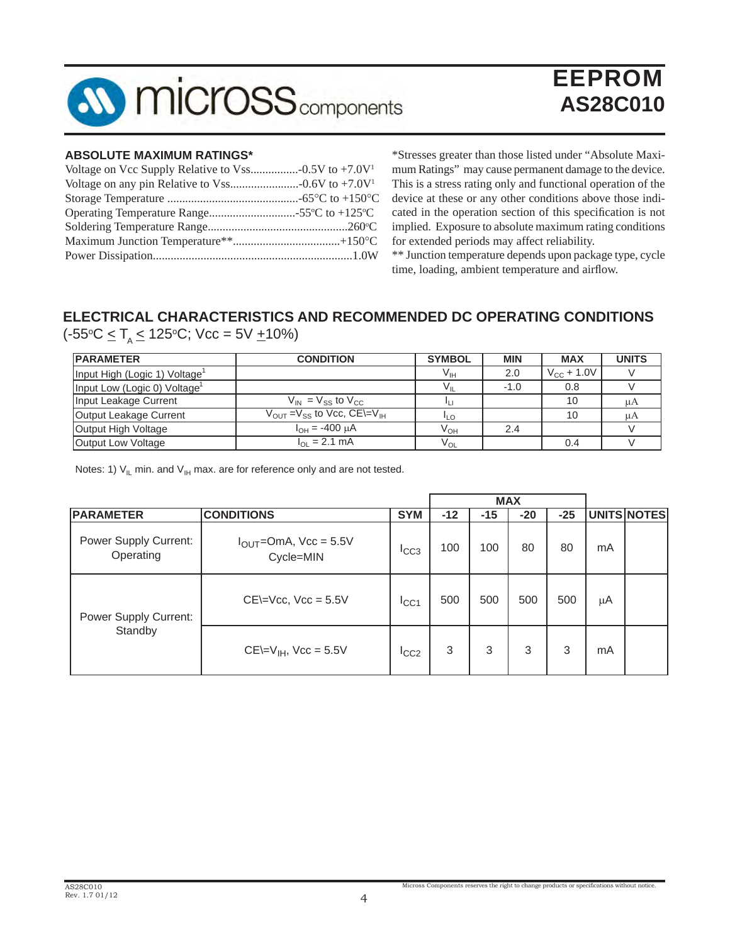

# EEPROM **AS28C010**

#### **ABSOLUTE MAXIMUM RATINGS\***

\*Stresses greater than those listed under "Absolute Maximum Ratings" may cause permanent damage to the device. This is a stress rating only and functional operation of the device at these or any other conditions above those indicated in the operation section of this specification is not implied. Exposure to absolute maximum rating conditions for extended periods may affect reliability.

\*\* Junction temperature depends upon package type, cycle time, loading, ambient temperature and airflow.

# **ELECTRICAL CHARACTERISTICS AND RECOMMENDED DC OPERATING CONDITIONS**

(-55°C ≤ T<sub>A</sub> ≤ 125°C; Vcc = 5V <u>+</u>10%)

| <b>IPARAMETER</b>                         | <b>CONDITION</b>                                             | <b>SYMBOL</b>   | <b>MIN</b> | <b>MAX</b>             | <b>UNITS</b> |
|-------------------------------------------|--------------------------------------------------------------|-----------------|------------|------------------------|--------------|
| Input High (Logic 1) Voltage <sup>1</sup> |                                                              | Vıн             | 2.0        | $V_{\text{CC}} + 1.0V$ |              |
| Input Low (Logic 0) Voltage               |                                                              |                 | $-1.0$     | 0.8                    |              |
| Input Leakage Current                     | $V_{IN} = V_{SS}$ to $V_{CC}$                                |                 |            | 10                     | μA           |
| Output Leakage Current                    | $V_{\text{OUT}} = V_{\text{SS}}$ to Vcc, CE\=V <sub>IH</sub> | <b>ILO</b>      |            | 10                     | μA           |
| Output High Voltage                       | $I_{OH} = -400 \mu A$                                        | V <sub>он</sub> | 2.4        |                        |              |
| Output Low Voltage                        | $I_{\Omega}$ = 2.1 mA                                        | $\rm V_{OL}$    |            | 0.4                    |              |

Notes: 1)  $V_{IL}$  min. and  $V_{IH}$  max. are for reference only and are not tested.

|                                    |                                         |            |       |       | <b>MAX</b> |       |    |             |
|------------------------------------|-----------------------------------------|------------|-------|-------|------------|-------|----|-------------|
| <b>PARAMETER</b>                   | <b>CONDITIONS</b>                       | <b>SYM</b> | $-12$ | $-15$ | $-20$      | $-25$ |    | UNITS NOTES |
| Power Supply Current:<br>Operating | $I_{OUT}$ =OmA, Vcc = 5.5V<br>Cycle=MIN | ICC3       | 100   | 100   | 80         | 80    | mA |             |
| Power Supply Current:<br>Standby   | $CE=Vec$ , $Vec = 5.5V$                 | ICC1       | 500   | 500   | 500        | 500   | μA |             |
|                                    | $CE=V_{IH}$ , Vcc = 5.5V                | ICC2       | 3     | 3     | 3          | 3     | mA |             |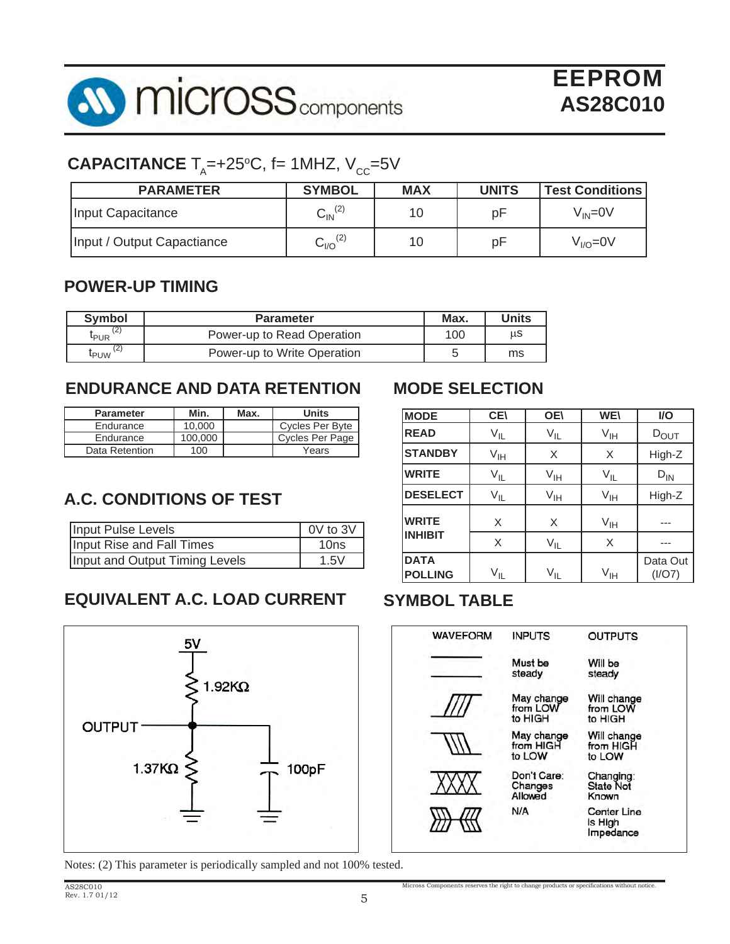

# $\mathsf{CAPACITANCE}\ \mathsf{T}_\mathsf{A}\!\!=\!\!+25^\circ\!\mathsf{C},\ \mathsf{f}\mathsf{=}\ 1\mathsf{MHZ},\ \mathsf{V}_\mathsf{CC}\!\!=\!\!5\mathsf{V}$

| <b>PARAMETER</b>           | <b>SYMBOL</b>            | <b>MAX</b> | <b>UNITS</b> | <b>Test Conditions</b> |
|----------------------------|--------------------------|------------|--------------|------------------------|
| Input Capacitance          | $\mathsf{C_{IN}}^{(2)}$  |            | рF           | $\rm V_{\rm IN}$ =0V   |
| Input / Output Capactiance | $\mathrm{C_{1/O}}^{(2)}$ | 10         | pF           | $VI/O=0V$              |

## **POWER-UP TIMING**

| <b>Symbol</b>        | <b>Parameter</b>            | Max. | <b>Units</b> |
|----------------------|-----------------------------|------|--------------|
| 'ے ا<br><b>L</b> PUR | Power-up to Read Operation  | 100  | μS           |
| <b>L</b> PUW         | Power-up to Write Operation |      | ms           |

# **ENDURANCE AND DATA RETENTION**

| <b>Parameter</b> | Min.    | Max. | <b>Units</b>    |
|------------------|---------|------|-----------------|
| Endurance        | 10.000  |      | Cycles Per Byte |
| Endurance        | 100,000 |      | Cycles Per Page |
| Data Retention   | 100     |      | Years           |

# **A.C. CONDITIONS OF TEST**

| Input Pulse Levels             | 0V to 3V |
|--------------------------------|----------|
| Input Rise and Fall Times      | 10ns     |
| Input and Output Timing Levels | 1.5V     |

# **EQUIVALENT A.C. LOAD CURRENT SYMBOL TABLE**



Notes: (2) This parameter is periodically sampled and not 100% tested.

# **MODE SELECTION**

| <b>MODE</b>                   | <b>CE</b>       | <b>OE\</b>      | <b>WE\</b>      | <b>I/O</b>         |
|-------------------------------|-----------------|-----------------|-----------------|--------------------|
| <b>READ</b>                   | $V_{IL}$        | $V_{IL}$        | $V_{IH}$        | $D_{\text{OUT}}$   |
| <b>STANDBY</b>                | $V_{\text{IH}}$ | X               | X               | High-Z             |
| <b>WRITE</b>                  | $V_{IL}$        | $V_{\text{IH}}$ | $V_{IL}$        | $D_{IN}$           |
| <b>DESELECT</b>               | $V_{IL}$        | V <sub>IH</sub> | $V_{IH}$        | High-Z             |
| <b>WRITE</b>                  | X               | X               | $V_{IH}$        |                    |
| <b>INHIBIT</b>                | X               | $V_{IL}$        | X               |                    |
| <b>DATA</b><br><b>POLLING</b> | $V_{IL}$        | $V_{\sf IL}$    | V <sub>IH</sub> | Data Out<br>(I/O7) |



Micross Components reserves the right to change products or specifications without notice.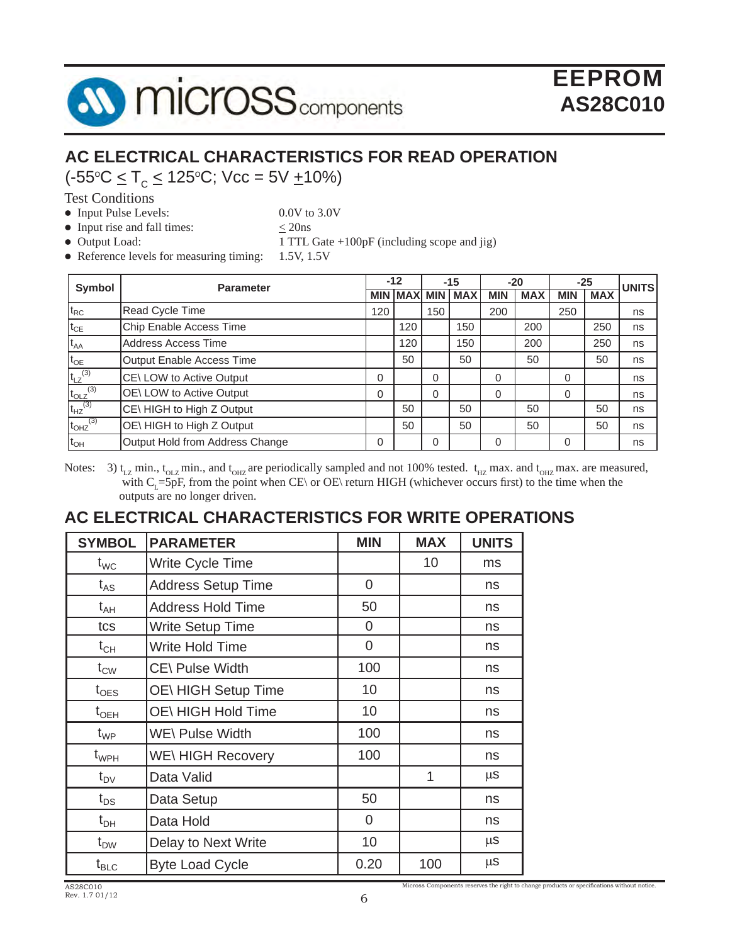

# **AC ELECTRICAL CHARACTERISTICS FOR READ OPERATION**

(-55o C < TC < 125o C; Vcc = 5V +10%)

Test Conditions

• Input Pulse Levels: 0.0V to 3.0V

• Input rise and fall times:  $\leq 20$ ns

• Output Load: 1 TTL Gate +100pF (including scope and jig)

• Reference levels for measuring timing: 1.5V, 1.5V

|                                                                          | Symbol<br><b>Parameter</b>      |     | $-12$               |          | $-15$      |          | $-20$      |            | $-25$      |              |
|--------------------------------------------------------------------------|---------------------------------|-----|---------------------|----------|------------|----------|------------|------------|------------|--------------|
|                                                                          |                                 |     | <b>MIN MAXI MIN</b> |          | <b>MAX</b> | MIN      | <b>MAX</b> | <b>MIN</b> | <b>MAX</b> | <b>UNITS</b> |
| $t_{RC}$                                                                 | Read Cycle Time                 | 120 |                     | 150      |            | 200      |            | 250        |            | ns           |
| $t_{CE}$                                                                 | Chip Enable Access Time         |     | 120                 |          | 150        |          | 200        |            | 250        | ns           |
| $t_{AA}$                                                                 | Address Access Time             |     | 120                 |          | 150        |          | 200        |            | 250        | ns           |
| $t_{OE}$                                                                 | Output Enable Access Time       |     | 50                  |          | 50         |          | 50         |            | 50         | ns           |
| $t_{LZ}^{(3)}$                                                           | CE\LOW to Active Output         | 0   |                     | $\Omega$ |            | 0        |            | 0          |            | ns           |
| $\frac{\mathsf{t}_{\mathsf{OLZ}}^{(3)}}{\mathsf{t}_{\mathsf{HZ}}^{(3)}}$ | OE\LOW to Active Output         | 0   |                     | $\Omega$ |            | $\Omega$ |            | 0          |            | ns           |
|                                                                          | CE\ HIGH to High Z Output       |     | 50                  |          | 50         |          | 50         |            | 50         | ns           |
| $t_{OHZ}$ <sup>(3)</sup>                                                 | OE\ HIGH to High Z Output       |     | 50                  |          | 50         |          | 50         |            | 50         | ns           |
| $t_{OH}$                                                                 | Output Hold from Address Change | 0   |                     | 0        |            | 0        |            | 0          |            | ns           |

Notes: 3)  $t_{LZ}$  min.,  $t_{OLZ}$  min., and  $t_{OLZ}$  are periodically sampled and not 100% tested.  $t_{HZ}$  max. and  $t_{OLZ}$  max. are measured, with C<sub>L</sub>=5pF, from the point when CE\ or OE\ return HIGH (whichever occurs first) to the time when the outputs are no longer driven.

# **AC ELECTRICAL CHARACTERISTICS FOR WRITE OPERATIONS**

| <b>SYMBOL</b>                    | <b>PARAMETER</b>          | <b>MIN</b>     | <b>MAX</b> | <b>UNITS</b> |
|----------------------------------|---------------------------|----------------|------------|--------------|
| $t_{WC}$                         | Write Cycle Time          |                | 10         | ms           |
| $t_{AS}$                         | <b>Address Setup Time</b> | 0              |            | ns           |
| $t_{AH}$                         | <b>Address Hold Time</b>  | 50             |            | ns           |
| tcs                              | Write Setup Time          | $\overline{0}$ |            | ns           |
| $t_{CH}$                         | <b>Write Hold Time</b>    | 0              |            | ns           |
| $t_{\text{CW}}$                  | CE\ Pulse Width           | 100            |            | ns           |
| $t_{\text{OES}}$                 | OE\ HIGH Setup Time       | 10             |            | ns           |
| $\mathfrak{t}_{\sf OEH}$         | OE\ HIGH Hold Time        | 10             |            | ns           |
| $t_{WP}$                         | <b>WE\ Pulse Width</b>    | 100            |            | ns           |
| $t_{\scriptscriptstyle WPH}$     | <b>WE\HIGH Recovery</b>   | 100            |            | ns           |
| $t_{\text{DV}}$                  | Data Valid                |                | 1          | $\mu$ S      |
| $t_{DS}$                         | Data Setup                | 50             |            | ns           |
| $t_{\sf DH}$                     | Data Hold                 | $\overline{0}$ |            | ns           |
| $t_{DW}$                         | Delay to Next Write       | 10             |            | $\mu$ S      |
| $\rm t_{\scriptscriptstyle BLC}$ | <b>Byte Load Cycle</b>    | 0.20           | 100        | $\mu$ S      |

Micross Components reserves the right to change products or specifications without notice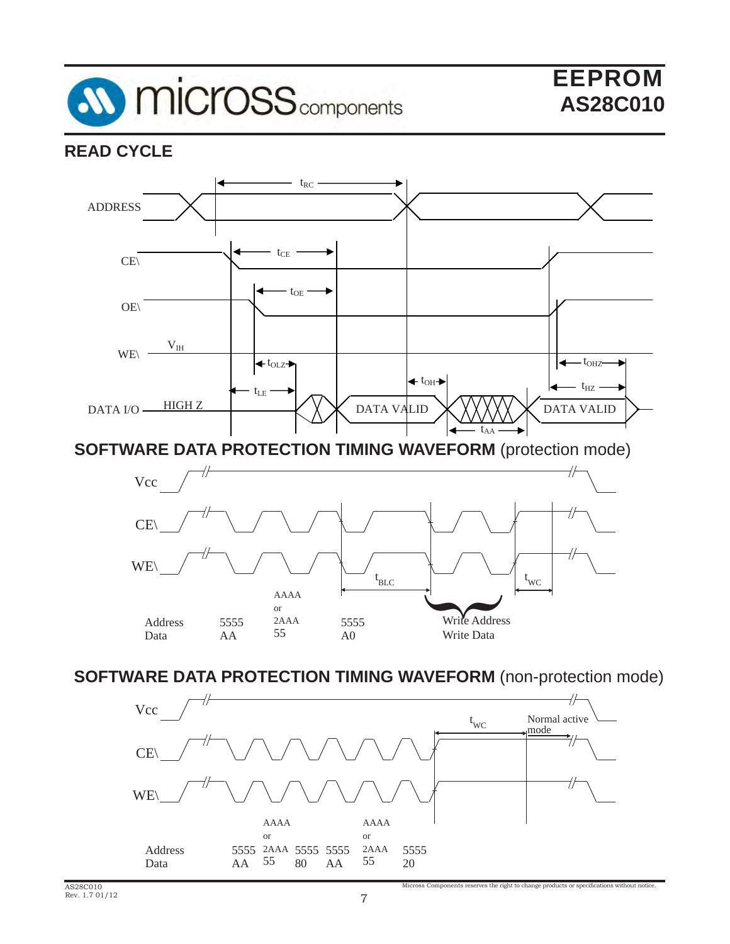

# **READ CYCLE**



**SOFTWARE DATA PROTECTION TIMING WAVEFORM** (protection mode)



**SOFTWARE DATA PROTECTION TIMING WAVEFORM** (non-protection mode)

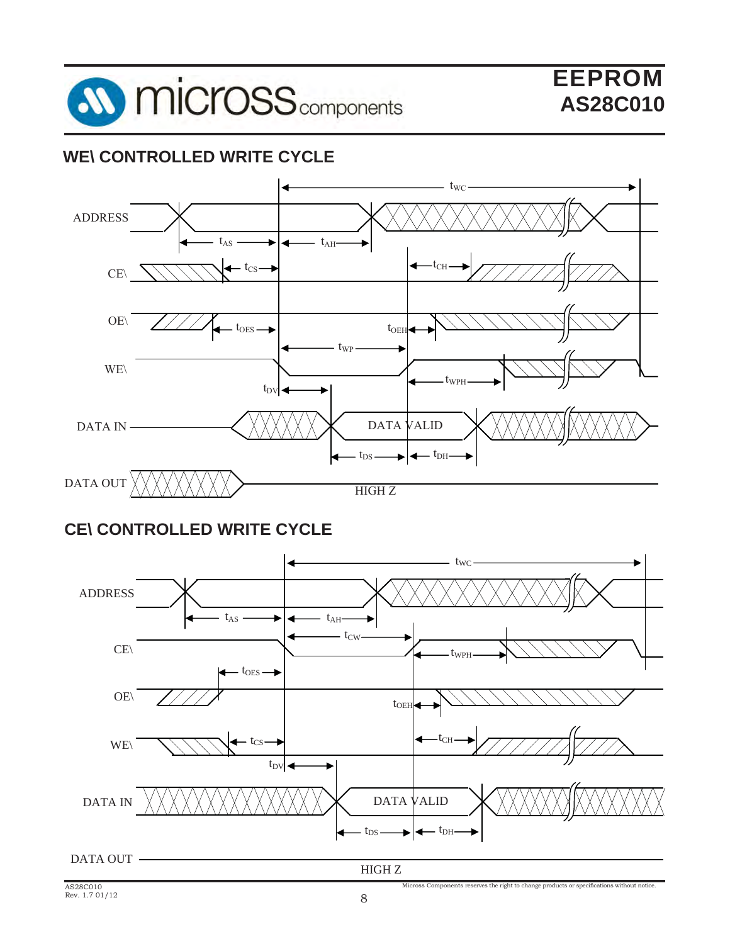

# **WE\ CONTROLLED WRITE CYCLE**



# **CE\ CONTROLLED WRITE CYCLE**

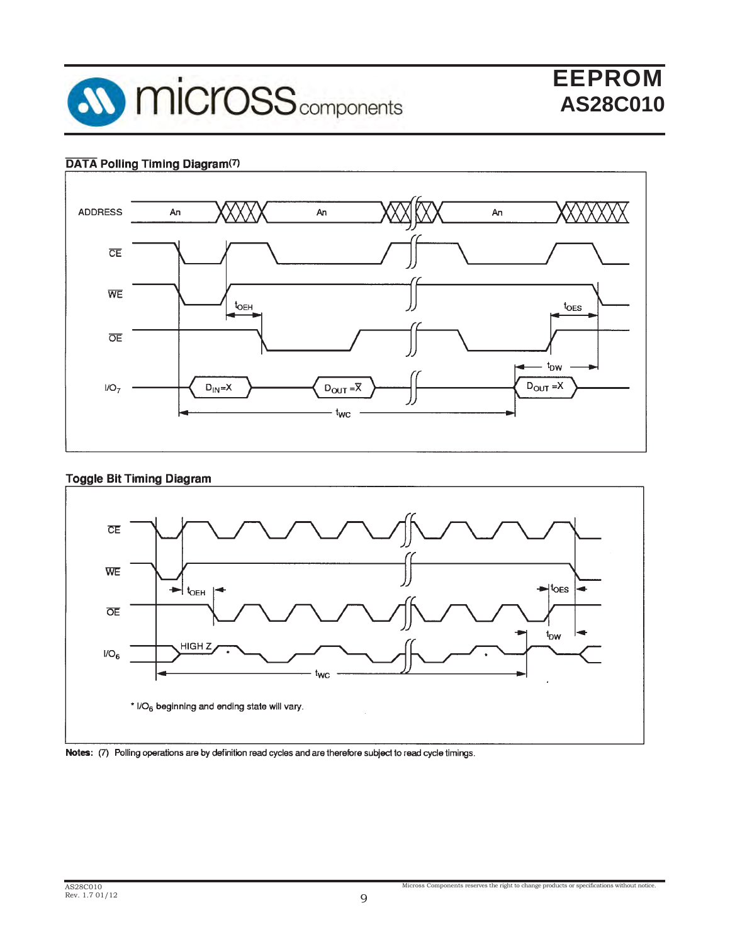

# EEPROM **AS28C010**

#### DATA Polling Timing Diagram(7)



#### **Toggle Bit Timing Diagram**



#### Notes: (7) Polling operations are by definition read cycles and are therefore subject to read cycle timings.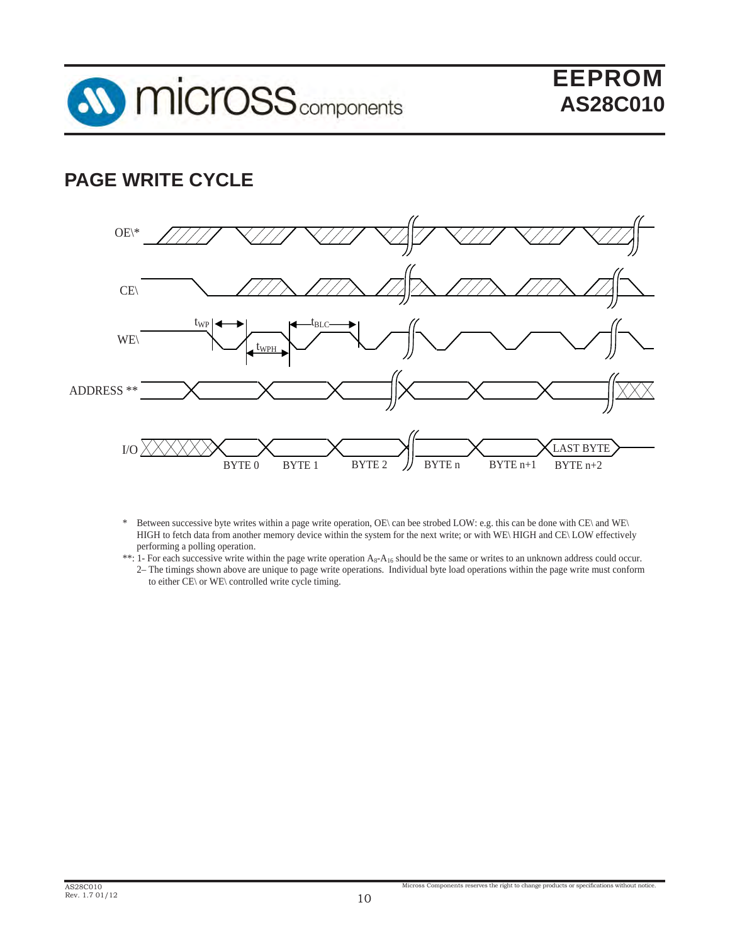

# **PAGE WRITE CYCLE**



- \* Between successive byte writes within a page write operation, OE\ can bee strobed LOW: e.g. this can be done with CE\ and WE\ HIGH to fetch data from another memory device within the system for the next write; or with WE\ HIGH and CE\ LOW effectively performing a polling operation.
- \*\*: 1- For each successive write within the page write operation  $A_8$ - $A_{16}$  should be the same or writes to an unknown address could occur. 2– The timings shown above are unique to page write operations. Individual byte load operations within the page write must conform
	- to either CE\ or WE\ controlled write cycle timing.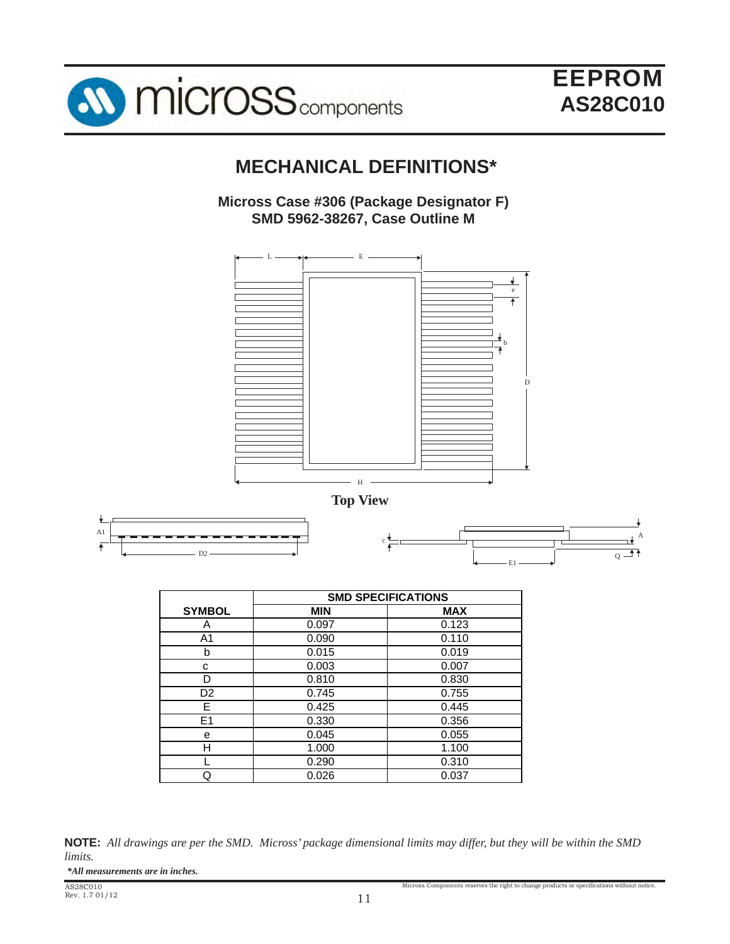



# **MECHANICAL DEFINITIONS\***

## **Micross Case #306 (Package Designator F) SMD 5962-38267, Case Outline M**





|                | <b>SMD SPECIFICATIONS</b> |            |  |  |
|----------------|---------------------------|------------|--|--|
| <b>SYMBOL</b>  | <b>MIN</b>                | <b>MAX</b> |  |  |
| A              | 0.097                     | 0.123      |  |  |
| A1             | 0.090                     | 0.110      |  |  |
| b              | 0.015                     | 0.019      |  |  |
| С              | 0.003                     | 0.007      |  |  |
| D              | 0.810                     | 0.830      |  |  |
| D <sub>2</sub> | 0.745                     | 0.755      |  |  |
| Е              | 0.425                     | 0.445      |  |  |
| E <sub>1</sub> | 0.330                     | 0.356      |  |  |
| е              | 0.045                     | 0.055      |  |  |
| н              | 1.000                     | 1.100      |  |  |
|                | 0.290                     | 0.310      |  |  |
| ړ              | 0.026                     | 0.037      |  |  |

**NOTE:** *All drawings are per the SMD. Micross' package dimensional limits may differ, but they will be within the SMD limits.*

*\*All measurements are in inches.*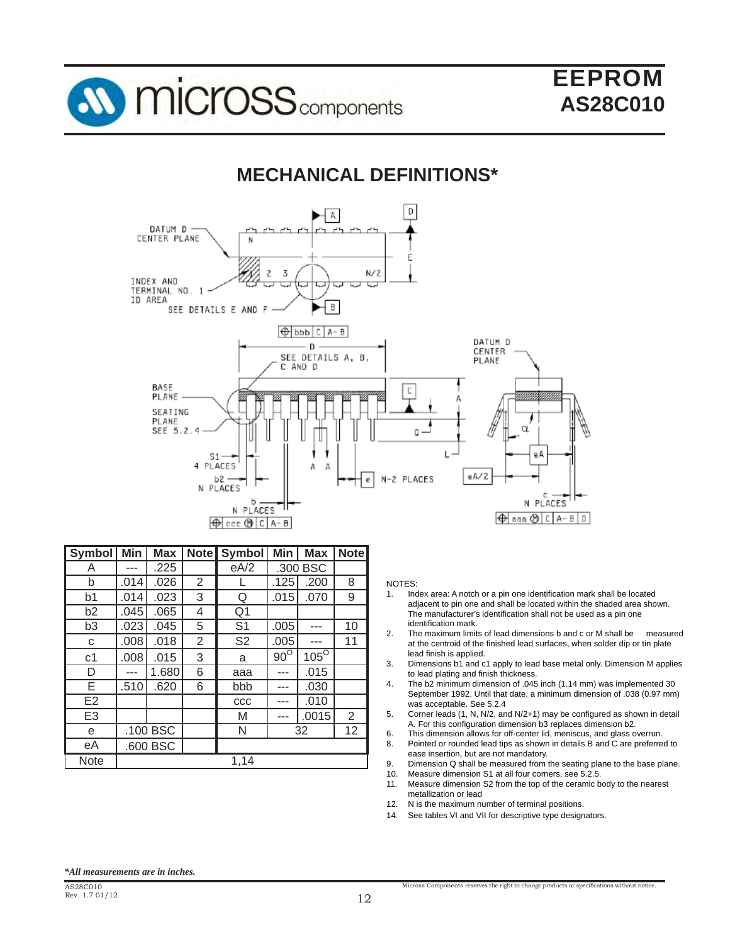

# **MECHANICAL DEFINITIONS\***



| Symbol         | Min      | <b>Max</b> |   | Note Symbol    | Min        | <b>Max</b>  | <b>Note</b> |
|----------------|----------|------------|---|----------------|------------|-------------|-------------|
| Α              |          | .225       |   | eA/2           | .300 BSC   |             |             |
| b              | .014     | .026       | 2 |                | .125       | .200        | 8           |
| b <sub>1</sub> | .014     | .023       | 3 | Q              | .015       | .070        | 9           |
| b2             | .045     | .065       | 4 | Q1             |            |             |             |
| b <sub>3</sub> | .023     | .045       | 5 | S <sub>1</sub> | .005       |             | 10          |
| с              | .008     | .018       | 2 | S <sub>2</sub> | .005       |             | 11          |
| c1             | .008     | .015       | 3 | a              | $90^\circ$ | $105^\circ$ |             |
| D              |          | 1.680      | 6 | aaa            |            | .015        |             |
| Е              | .510     | .620       | 6 | bbb            | .          | .030        |             |
| E <sub>2</sub> |          |            |   | CCC            |            | .010        |             |
| E <sub>3</sub> |          |            |   | M              | ---        | .0015       | 2           |
| e              | .100 BSC |            |   | N              | 32         |             | 12          |
| еA             |          | .600 BSC   |   |                |            |             |             |
| <b>Note</b>    |          |            |   | 1,14           |            |             |             |

#### NOTES:

- 1. Index area: A notch or a pin one identification mark shall be located adjacent to pin one and shall be located within the shaded area shown. The manufacturer's identification shall not be used as a pin one identification mark.<br>2. The maximum limit
- 2. The maximum limits of lead dimensions b and c or M shall be measured at the centroid of the finished lead surfaces, when solder dip or tin plate lead finish is applied.
- 3. Dimensions b1 and c1 apply to lead base metal only. Dimension M applies to lead plating and finish thickness.
- 4. The b2 minimum dimension of .045 inch (1.14 mm) was implemented 30 September 1992. Until that date, a minimum dimension of .038 (0.97 mm) was acceptable. See 5.2.4<br>5. Corner leads (1, N, N/2, an
- Corner leads (1, N, N/2, and N/2+1) may be configured as shown in detail A. For this configuration dimension b3 replaces dimension b2.<br>6. This dimension allows for off-center lid meniscus, and glass of
- This dimension allows for off-center lid, meniscus, and glass overrun.
- 8. Pointed or rounded lead tips as shown in details B and C are preferred to ease insertion, but are not mandatory.
- 9. Dimension Q shall be measured from the seating plane to the base plane.
- 10. Measure dimension S1 at all four corners, see 5.2.5.
- 11. Measure dimension S2 from the top of the ceramic body to the nearest metallization or lead
- 12. N is the maximum number of terminal positions.
- 14. See tables VI and VII for descriptive type designators.

#### *\*All measurements are in inches.*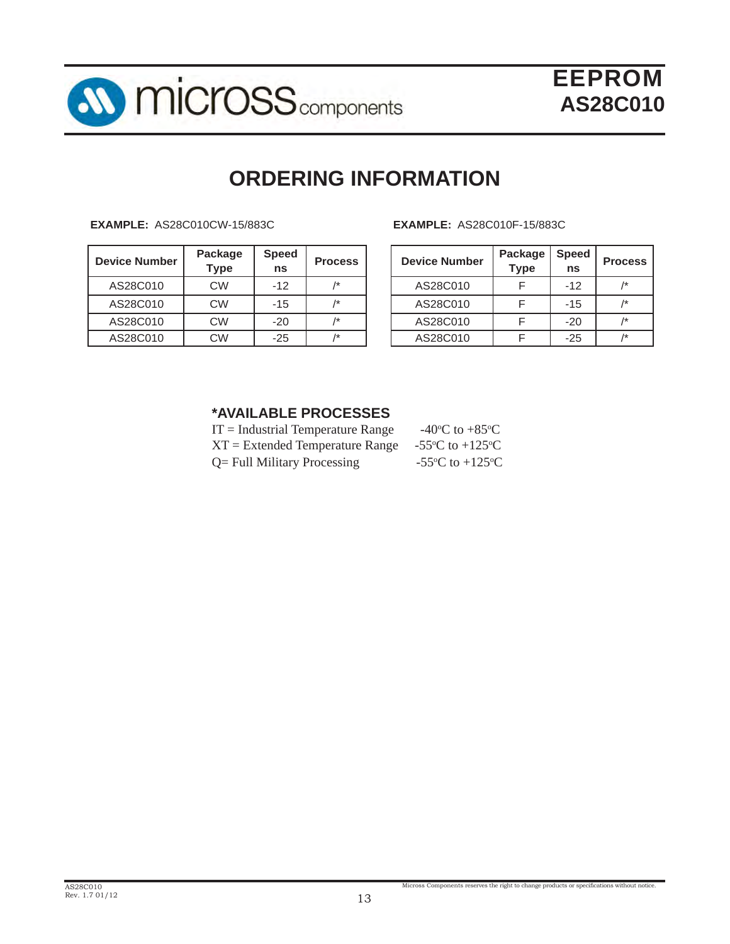

# **ORDERING INFORMATION**

**EXAMPLE:** AS28C010CW-15/883C **EXAMPLE:** AS28C010F-15/883C

| <b>Device Number</b> | Package<br><b>Type</b> | <b>Speed</b><br>ns | <b>Process</b>  | <b>Device Number</b> | Package<br><b>Type</b> | <b>Speed</b><br>ns | <b>Proc</b>    |
|----------------------|------------------------|--------------------|-----------------|----------------------|------------------------|--------------------|----------------|
| AS28C010             | <b>CW</b>              | $-12$              | $\overline{1*}$ | AS28C010             |                        | $-12$              | $\overline{1}$ |
| AS28C010             | <b>CW</b>              | $-15$              |                 | AS28C010             |                        | $-15$              | $\overline{1}$ |
| AS28C010             | <b>CW</b>              | $-20$              | $\overline{1*}$ | AS28C010             |                        | $-20$              | $/$ *          |
| AS28C010             | <b>CW</b>              | $-25$              |                 | AS28C010             |                        | $-25$              | $/*$           |

| <b>Process</b> | <b>Device Number</b> | Package<br><b>Type</b> | <b>Speed</b><br>ns | <b>Process</b> |
|----------------|----------------------|------------------------|--------------------|----------------|
| 1*             | AS28C010             |                        | $-12$              | /*             |
| 1*             | AS28C010             |                        | $-15$              | 1*             |
| 1*             | AS28C010             |                        | $-20$              | 1*             |
| 1*             | AS28C010             |                        | $-25$              | 1*             |

### **\*AVAILABLE PROCESSES**

| $IT = Industrial Temperature Range$ | -40 $\rm{^{\circ}C}$ to +85 $\rm{^{\circ}C}$          |
|-------------------------------------|-------------------------------------------------------|
| $XT = Extended Temperature Range$   | -55 $\mathrm{^{\circ}C}$ to +125 $\mathrm{^{\circ}C}$ |
| $Q =$ Full Military Processing      | -55 $\mathrm{^{\circ}C}$ to +125 $\mathrm{^{\circ}C}$ |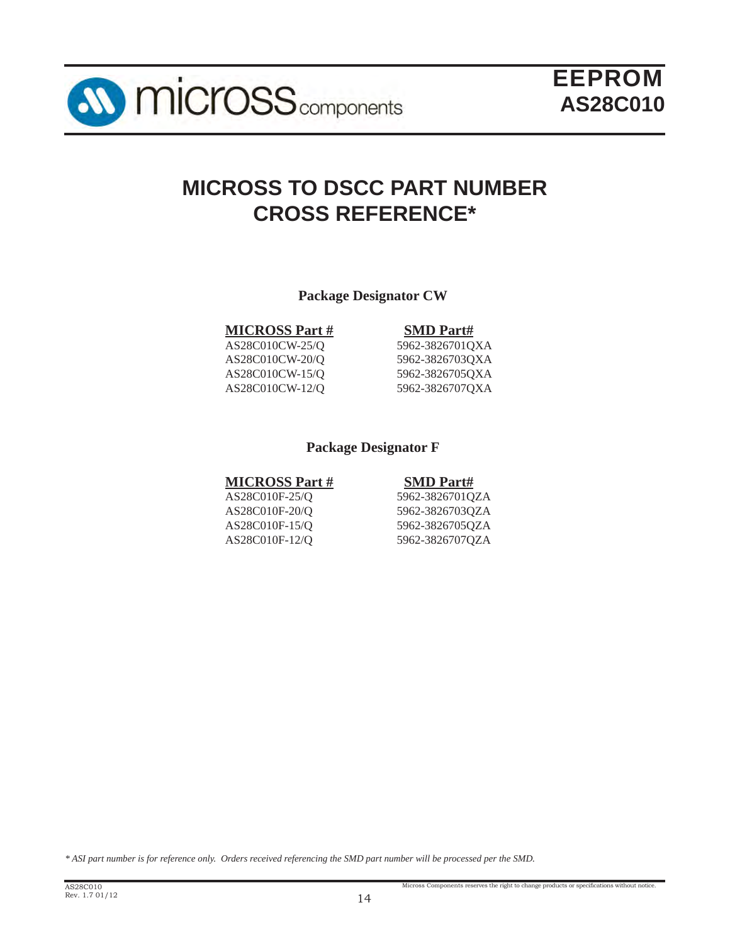

# **MICROSS TO DSCC PART NUMBER CROSS REFERENCE\***

**Package Designator CW**

**MICROSS Part # SMD Part#**

AS28C010CW-20/Q 5962-3826703QXA AS28C010CW-15/Q 5962-3826705QXA AS28C010CW-12/Q 5962-3826707QXA

AS28C010CW-25/Q 5962-3826701QXA

### **Package Designator F**

### **MICROSS Part # SMD Part#**

AS28C010F-25/Q 5962-3826701QZA AS28C010F-20/Q 5962-3826703QZA AS28C010F-15/Q 5962-3826705QZA AS28C010F-12/Q 5962-3826707QZA

*\* ASI part number is for reference only. Orders received referencing the SMD part number will be processed per the SMD.*